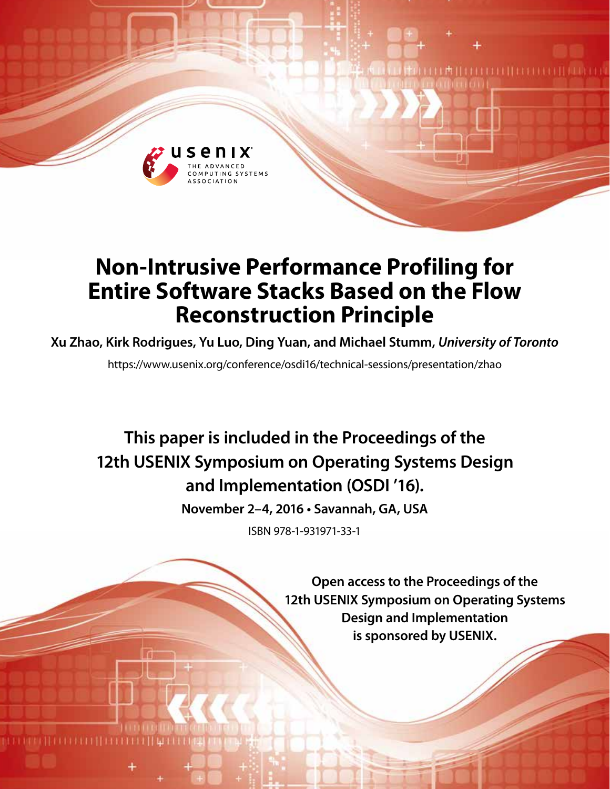

# **Non-Intrusive Performance Profiling for Entire Software Stacks Based on the Flow Reconstruction Principle**

# **Xu Zhao, Kirk Rodrigues, Yu Luo, Ding Yuan, and Michael Stumm,** *University of Toronto*

https://www.usenix.org/conference/osdi16/technical-sessions/presentation/zhao

**This paper is included in the Proceedings of the 12th USENIX Symposium on Operating Systems Design and Implementation (OSDI '16).**

**November 2–4, 2016 • Savannah, GA, USA**

ISBN 978-1-931971-33-1

**Open access to the Proceedings of the 12th USENIX Symposium on Operating Systems Design and Implementation is sponsored by USENIX.**

THEILIHE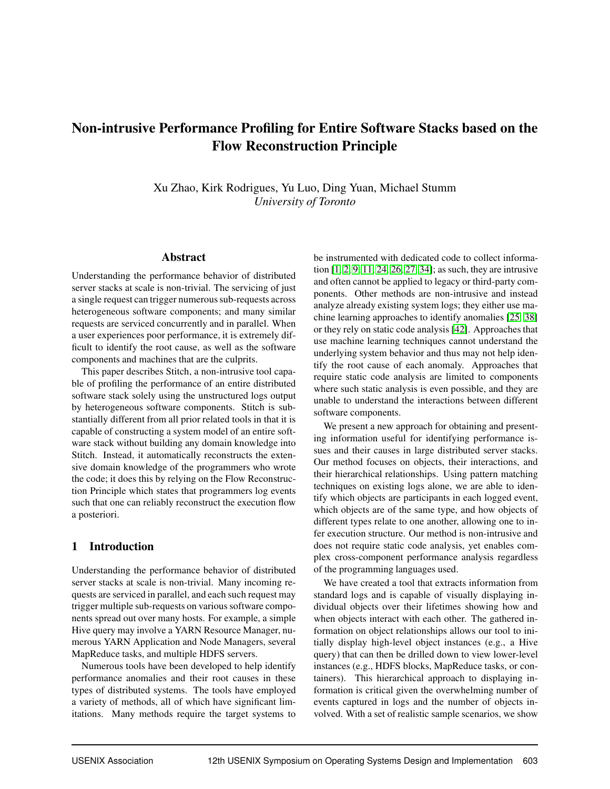# Non-intrusive Performance Profiling for Entire Software Stacks based on the Flow Reconstruction Principle

Xu Zhao, Kirk Rodrigues, Yu Luo, Ding Yuan, Michael Stumm *University of Toronto*

### Abstract

Understanding the performance behavior of distributed server stacks at scale is non-trivial. The servicing of just a single request can trigger numerous sub-requests across heterogeneous software components; and many similar requests are serviced concurrently and in parallel. When a user experiences poor performance, it is extremely difficult to identify the root cause, as well as the software components and machines that are the culprits.

This paper describes Stitch, a non-intrusive tool capable of profiling the performance of an entire distributed software stack solely using the unstructured logs output by heterogeneous software components. Stitch is substantially different from all prior related tools in that it is capable of constructing a system model of an entire software stack without building any domain knowledge into Stitch. Instead, it automatically reconstructs the extensive domain knowledge of the programmers who wrote the code; it does this by relying on the Flow Reconstruction Principle which states that programmers log events such that one can reliably reconstruct the execution flow a posteriori.

#### 1 Introduction

Understanding the performance behavior of distributed server stacks at scale is non-trivial. Many incoming requests are serviced in parallel, and each such request may trigger multiple sub-requests on various software components spread out over many hosts. For example, a simple Hive query may involve a YARN Resource Manager, numerous YARN Application and Node Managers, several MapReduce tasks, and multiple HDFS servers.

Numerous tools have been developed to help identify performance anomalies and their root causes in these types of distributed systems. The tools have employed a variety of methods, all of which have significant limitations. Many methods require the target systems to be instrumented with dedicated code to collect information [\[1,](#page-14-0) [2,](#page-14-1) [9,](#page-15-0) [11,](#page-15-1) [24,](#page-15-2) [26,](#page-15-3) [27,](#page-15-4) [34\]](#page-16-0); as such, they are intrusive and often cannot be applied to legacy or third-party components. Other methods are non-intrusive and instead analyze already existing system logs; they either use machine learning approaches to identify anomalies [\[25,](#page-15-5) [38\]](#page-16-1) or they rely on static code analysis [\[42\]](#page-16-2). Approaches that use machine learning techniques cannot understand the underlying system behavior and thus may not help identify the root cause of each anomaly. Approaches that require static code analysis are limited to components where such static analysis is even possible, and they are unable to understand the interactions between different software components.

We present a new approach for obtaining and presenting information useful for identifying performance issues and their causes in large distributed server stacks. Our method focuses on objects, their interactions, and their hierarchical relationships. Using pattern matching techniques on existing logs alone, we are able to identify which objects are participants in each logged event, which objects are of the same type, and how objects of different types relate to one another, allowing one to infer execution structure. Our method is non-intrusive and does not require static code analysis, yet enables complex cross-component performance analysis regardless of the programming languages used.

We have created a tool that extracts information from standard logs and is capable of visually displaying individual objects over their lifetimes showing how and when objects interact with each other. The gathered information on object relationships allows our tool to initially display high-level object instances (e.g., a Hive query) that can then be drilled down to view lower-level instances (e.g., HDFS blocks, MapReduce tasks, or containers). This hierarchical approach to displaying information is critical given the overwhelming number of events captured in logs and the number of objects involved. With a set of realistic sample scenarios, we show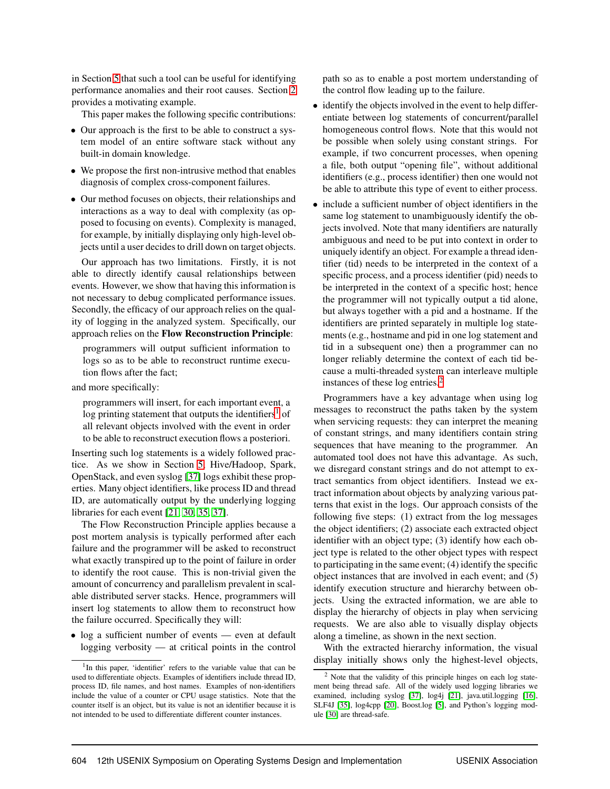in Section [5](#page-9-0) that such a tool can be useful for identifying performance anomalies and their root causes. Section [2](#page-3-0) provides a motivating example.

This paper makes the following specific contributions:

- Our approach is the first to be able to construct a system model of an entire software stack without any built-in domain knowledge.
- We propose the first non-intrusive method that enables diagnosis of complex cross-component failures.
- Our method focuses on objects, their relationships and interactions as a way to deal with complexity (as opposed to focusing on events). Complexity is managed, for example, by initially displaying only high-level objects until a user decides to drill down on target objects.

Our approach has two limitations. Firstly, it is not able to directly identify causal relationships between events. However, we show that having this information is not necessary to debug complicated performance issues. Secondly, the efficacy of our approach relies on the quality of logging in the analyzed system. Specifically, our approach relies on the Flow Reconstruction Principle:

programmers will output sufficient information to logs so as to be able to reconstruct runtime execution flows after the fact;

and more specifically:

programmers will insert, for each important event, a log printing statement that outputs the identifiers<sup>[1](#page-2-0)</sup> of all relevant objects involved with the event in order to be able to reconstruct execution flows a posteriori.

Inserting such log statements is a widely followed practice. As we show in Section [5,](#page-9-0) Hive/Hadoop, Spark, OpenStack, and even syslog [\[37\]](#page-16-3) logs exhibit these properties. Many object identifiers, like process ID and thread ID, are automatically output by the underlying logging libraries for each event [\[21,](#page-15-6) [30,](#page-15-7) [35,](#page-16-4) [37\]](#page-16-3).

The Flow Reconstruction Principle applies because a post mortem analysis is typically performed after each failure and the programmer will be asked to reconstruct what exactly transpired up to the point of failure in order to identify the root cause. This is non-trivial given the amount of concurrency and parallelism prevalent in scalable distributed server stacks. Hence, programmers will insert log statements to allow them to reconstruct how the failure occurred. Specifically they will:

• log a sufficient number of events — even at default logging verbosity — at critical points in the control

path so as to enable a post mortem understanding of the control flow leading up to the failure.

- identify the objects involved in the event to help differentiate between log statements of concurrent/parallel homogeneous control flows. Note that this would not be possible when solely using constant strings. For example, if two concurrent processes, when opening a file, both output "opening file", without additional identifiers (e.g., process identifier) then one would not be able to attribute this type of event to either process.
- include a sufficient number of object identifiers in the same log statement to unambiguously identify the objects involved. Note that many identifiers are naturally ambiguous and need to be put into context in order to uniquely identify an object. For example a thread identifier (tid) needs to be interpreted in the context of a specific process, and a process identifier (pid) needs to be interpreted in the context of a specific host; hence the programmer will not typically output a tid alone, but always together with a pid and a hostname. If the identifiers are printed separately in multiple log statements (e.g., hostname and pid in one log statement and tid in a subsequent one) then a programmer can no longer reliably determine the context of each tid because a multi-threaded system can interleave multiple instances of these log entries.[2](#page-2-1)

Programmers have a key advantage when using log messages to reconstruct the paths taken by the system when servicing requests: they can interpret the meaning of constant strings, and many identifiers contain string sequences that have meaning to the programmer. An automated tool does not have this advantage. As such, we disregard constant strings and do not attempt to extract semantics from object identifiers. Instead we extract information about objects by analyzing various patterns that exist in the logs. Our approach consists of the following five steps: (1) extract from the log messages the object identifiers; (2) associate each extracted object identifier with an object type; (3) identify how each object type is related to the other object types with respect to participating in the same event; (4) identify the specific object instances that are involved in each event; and (5) identify execution structure and hierarchy between objects. Using the extracted information, we are able to display the hierarchy of objects in play when servicing requests. We are also able to visually display objects along a timeline, as shown in the next section.

With the extracted hierarchy information, the visual display initially shows only the highest-level objects,

<span id="page-2-0"></span><sup>&</sup>lt;sup>1</sup>In this paper, 'identifier' refers to the variable value that can be used to differentiate objects. Examples of identifiers include thread ID, process ID, file names, and host names. Examples of non-identifiers include the value of a counter or CPU usage statistics. Note that the counter itself is an object, but its value is not an identifier because it is not intended to be used to differentiate different counter instances.

<span id="page-2-1"></span><sup>2</sup> Note that the validity of this principle hinges on each log statement being thread safe. All of the widely used logging libraries we examined, including syslog [\[37\]](#page-16-3), log4j [\[21\]](#page-15-6), java.util.logging [\[16\]](#page-15-8), SLF4J [\[35\]](#page-16-4), log4cpp [\[20\]](#page-15-9), Boost.log [\[5\]](#page-15-10), and Python's logging module [\[30\]](#page-15-7) are thread-safe.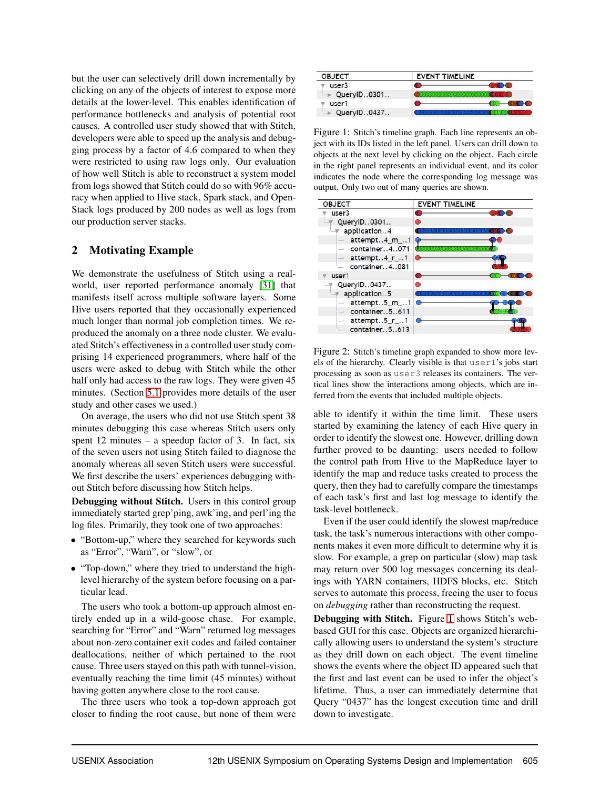but the user can selectively drill down incrementally by clicking on any of the objects of interest to expose more details at the lower-level. This enables identification of performance bottlenecks and analysis of potential root causes. A controlled user study showed that with Stitch, developers were able to speed up the analysis and debugging process by a factor of 4.6 compared to when they were restricted to using raw logs only. Our evaluation of how well Stitch is able to reconstruct a system model from logs showed that Stitch could do so with 96% accuracy when applied to Hive stack, Spark stack, and Open-Stack logs produced by 200 nodes as well as logs from our production server stacks.

## <span id="page-3-0"></span>2 Motivating Example

We demonstrate the usefulness of Stitch using a realworld, user reported performance anomaly [\[31\]](#page-16-5) that manifests itself across multiple software layers. Some Hive users reported that they occasionally experienced much longer than normal job completion times. We reproduced the anomaly on a three node cluster. We evaluated Stitch's effectiveness in a controlled user study comprising 14 experienced programmers, where half of the users were asked to debug with Stitch while the other half only had access to the raw logs. They were given 45 minutes. (Section [5.1](#page-9-1) provides more details of the user study and other cases we used.)

On average, the users who did not use Stitch spent 38 minutes debugging this case whereas Stitch users only spent  $12$  minutes – a speedup factor of 3. In fact, six of the seven users not using Stitch failed to diagnose the anomaly whereas all seven Stitch users were successful. We first describe the users' experiences debugging without Stitch before discussing how Stitch helps.

Debugging without Stitch. Users in this control group immediately started grep'ping, awk'ing, and perl'ing the log files. Primarily, they took one of two approaches:

- "Bottom-up," where they searched for keywords such as "Error", "Warn", or "slow", or
- "Top-down," where they tried to understand the highlevel hierarchy of the system before focusing on a particular lead.

The users who took a bottom-up approach almost entirely ended up in a wild-goose chase. For example, searching for "Error" and "Warn" returned log messages about non-zero container exit codes and failed container deallocations, neither of which pertained to the root cause. Three users stayed on this path with tunnel-vision, eventually reaching the time limit (45 minutes) without having gotten anywhere close to the root cause.

The three users who took a top-down approach got closer to finding the root cause, but none of them were



<span id="page-3-1"></span>Figure 1: Stitch's timeline graph. Each line represents an object with its IDs listed in the left panel. Users can drill down to objects at the next level by clicking on the object. Each circle in the right panel represents an individual event, and its color indicates the node where the corresponding log message was output. Only two out of many queries are shown.



<span id="page-3-2"></span>Figure 2: Stitch's timeline graph expanded to show more levels of the hierarchy. Clearly visible is that user1's jobs start processing as soon as user3 releases its containers. The vertical lines show the interactions among objects, which are inferred from the events that included multiple objects.

able to identify it within the time limit. These users started by examining the latency of each Hive query in order to identify the slowest one. However, drilling down further proved to be daunting: users needed to follow the control path from Hive to the MapReduce layer to identify the map and reduce tasks created to process the query, then they had to carefully compare the timestamps of each task's first and last log message to identify the task-level bottleneck.

Even if the user could identify the slowest map/reduce task, the task's numerous interactions with other components makes it even more difficult to determine why it is slow. For example, a grep on particular (slow) map task may return over 500 log messages concerning its dealings with YARN containers, HDFS blocks, etc. Stitch serves to automate this process, freeing the user to focus on *debugging* rather than reconstructing the request.

Debugging with Stitch. Figure [1](#page-3-1) shows Stitch's webbased GUI for this case. Objects are organized hierarchically allowing users to understand the system's structure as they drill down on each object. The event timeline shows the events where the object ID appeared such that the first and last event can be used to infer the object's lifetime. Thus, a user can immediately determine that Query "0437" has the longest execution time and drill down to investigate.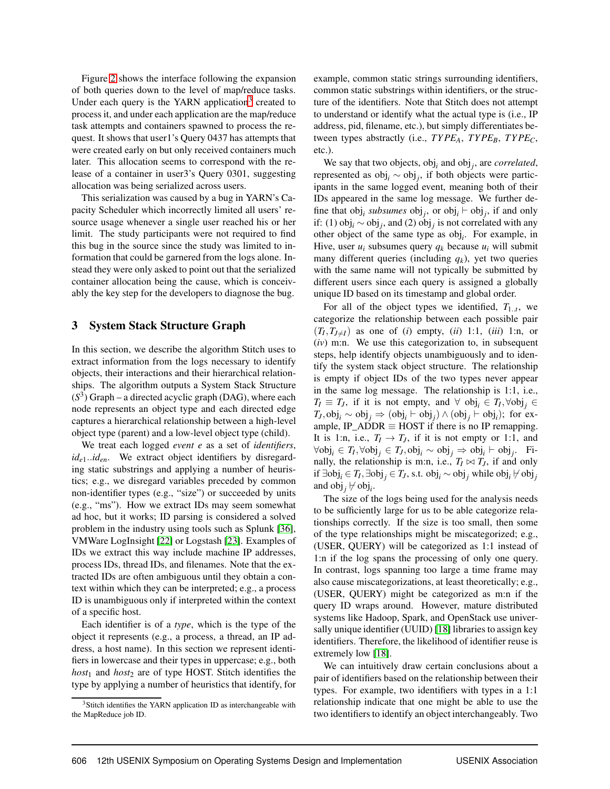Figure [2](#page-3-2) shows the interface following the expansion of both queries down to the level of map/reduce tasks. Under each query is the YARN application<sup>[3](#page-4-0)</sup> created to process it, and under each application are the map/reduce task attempts and containers spawned to process the request. It shows that user1's Query 0437 has attempts that were created early on but only received containers much later. This allocation seems to correspond with the release of a container in user3's Query 0301, suggesting allocation was being serialized across users.

This serialization was caused by a bug in YARN's Capacity Scheduler which incorrectly limited all users' resource usage whenever a single user reached his or her limit. The study participants were not required to find this bug in the source since the study was limited to information that could be garnered from the logs alone. Instead they were only asked to point out that the serialized container allocation being the cause, which is conceivably the key step for the developers to diagnose the bug.

#### 3 System Stack Structure Graph

In this section, we describe the algorithm Stitch uses to extract information from the logs necessary to identify objects, their interactions and their hierarchical relationships. The algorithm outputs a System Stack Structure  $(S<sup>3</sup>)$  Graph – a directed acyclic graph (DAG), where each node represents an object type and each directed edge captures a hierarchical relationship between a high-level object type (parent) and a low-level object type (child).

We treat each logged *event e* as a set of *identifiers*, *ide*1..*iden*. We extract object identifiers by disregarding static substrings and applying a number of heuristics; e.g., we disregard variables preceded by common non-identifier types (e.g., "size") or succeeded by units (e.g., "ms"). How we extract IDs may seem somewhat ad hoc, but it works; ID parsing is considered a solved problem in the industry using tools such as Splunk [\[36\]](#page-16-6), VMWare LogInsight [\[22\]](#page-15-11) or Logstash [\[23\]](#page-15-12). Examples of IDs we extract this way include machine IP addresses, process IDs, thread IDs, and filenames. Note that the extracted IDs are often ambiguous until they obtain a context within which they can be interpreted; e.g., a process ID is unambiguous only if interpreted within the context of a specific host.

Each identifier is of a *type*, which is the type of the object it represents (e.g., a process, a thread, an IP address, a host name). In this section we represent identifiers in lowercase and their types in uppercase; e.g., both *host*<sup>1</sup> and *host*<sup>2</sup> are of type HOST. Stitch identifies the type by applying a number of heuristics that identify, for example, common static strings surrounding identifiers, common static substrings within identifiers, or the structure of the identifiers. Note that Stitch does not attempt to understand or identify what the actual type is (i.e., IP address, pid, filename, etc.), but simply differentiates between types abstractly (i.e., *TY PEA*, *TYPEB*, *TYPEC*, etc.).

We say that two objects, obj*<sup>i</sup>* and obj*<sup>j</sup>* , are *correlated*, represented as obj*<sup>i</sup>* ∼ obj*<sup>j</sup>* , if both objects were participants in the same logged event, meaning both of their IDs appeared in the same log message. We further define that  $obj_i$  *subsumes*  $obj_j$ , or  $obj_i \vdash obj_j$ , if and only if: (1) obj*<sup>i</sup>* ∼ obj*<sup>j</sup>* , and (2) obj*<sup>j</sup>* is not correlated with any other object of the same type as obj*<sup>i</sup>* . For example, in Hive, user  $u_i$  subsumes query  $q_k$  because  $u_i$  will submit many different queries (including *q<sup>k</sup>* ), yet two queries with the same name will not typically be submitted by different users since each query is assigned a globally unique ID based on its timestamp and global order.

For all of the object types we identified,  $T_{1..t}$ , we categorize the relationship between each possible pair  $(T_I, T_{J \neq I})$  as one of (*i*) empty, (*ii*) 1:1, (*iii*) 1:n, or (*iv*) m:n. We use this categorization to, in subsequent steps, help identify objects unambiguously and to identify the system stack object structure. The relationship is empty if object IDs of the two types never appear in the same log message. The relationship is 1:1, i.e.,  $T_I \equiv T_J$ , if it is not empty, and  $\forall$  obj<sub>*i*</sub> ∈  $T_I$ , $\forall$ obj<sub>*j*</sub> ∈ *T*<sub>*J*</sub>,obj<sub>*i*</sub> ∼ obj<sub>*j*</sub> ⇒ (obj<sub>*i*</sub></sub> ⊢ obj<sub>*j*</sub>) ∧ (obj<sub>*j*</sub> ⊢ obj<sub>*i*</sub>); for example, IP\_ADDR  $\equiv$  HOST if there is no IP remapping. It is 1:n, i.e.,  $T_I \rightarrow T_J$ , if it is not empty or 1:1, and ∀obj*<sup>i</sup>* ∈ *T<sup>I</sup>* ,∀obj*<sup>j</sup>* ∈ *TJ*,obj*<sup>i</sup>* ∼ obj*<sup>j</sup>* ⇒ obj*<sup>i</sup>* ⊢ obj*<sup>j</sup>* . Finally, the relationship is m:n, i.e.,  $T_I \bowtie T_J$ , if and only if ∃obj $_j$  ∈  $T_I$ , ∃obj $_j$  ∈  $T_J$ , s.t. obj $_i$  ∼ obj $_j$  while obj $_i$   $\nvdash$  obj $_j$ and  $obj_j \not\vdash obj_i$ .

The size of the logs being used for the analysis needs to be sufficiently large for us to be able categorize relationships correctly. If the size is too small, then some of the type relationships might be miscategorized; e.g., (USER, QUERY) will be categorized as 1:1 instead of 1:n if the log spans the processing of only one query. In contrast, logs spanning too large a time frame may also cause miscategorizations, at least theoretically; e.g., (USER, QUERY) might be categorized as m:n if the query ID wraps around. However, mature distributed systems like Hadoop, Spark, and OpenStack use universally unique identifier (UUID) [\[18\]](#page-15-13) libraries to assign key identifiers. Therefore, the likelihood of identifier reuse is extremely low [\[18\]](#page-15-13).

We can intuitively draw certain conclusions about a pair of identifiers based on the relationship between their types. For example, two identifiers with types in a 1:1 relationship indicate that one might be able to use the two identifiers to identify an object interchangeably. Two

<span id="page-4-0"></span><sup>&</sup>lt;sup>3</sup>Stitch identifies the YARN application ID as interchangeable with the MapReduce job ID.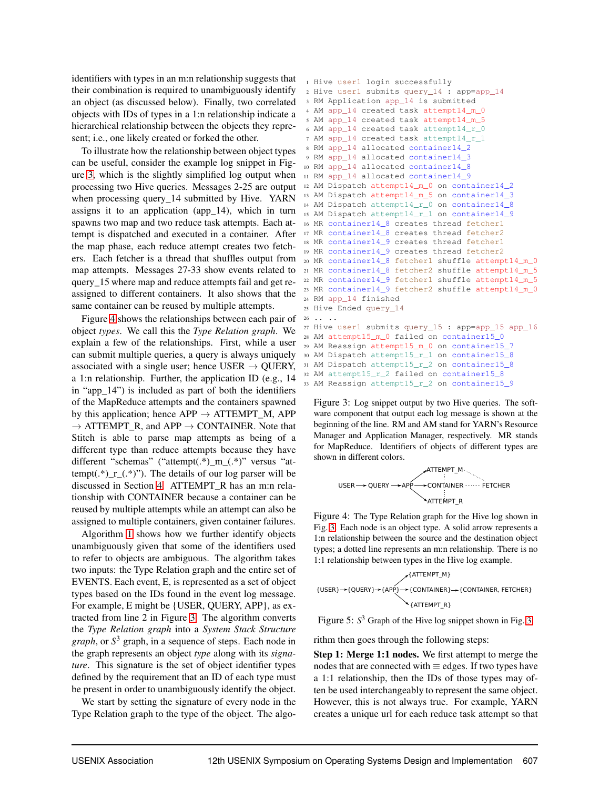identifiers with types in an m:n relationship suggests that their combination is required to unambiguously identify an object (as discussed below). Finally, two correlated objects with IDs of types in a 1:n relationship indicate a hierarchical relationship between the objects they represent; i.e., one likely created or forked the other.

To illustrate how the relationship between object types can be useful, consider the example log snippet in Figure [3,](#page-5-0) which is the slightly simplified log output when processing two Hive queries. Messages 2-25 are output when processing query 14 submitted by Hive. YARN assigns it to an application (app\_14), which in turn spawns two map and two reduce task attempts. Each attempt is dispatched and executed in a container. After the map phase, each reduce attempt creates two fetchers. Each fetcher is a thread that shuffles output from map attempts. Messages 27-33 show events related to query\_15 where map and reduce attempts fail and get reassigned to different containers. It also shows that the same container can be reused by multiple attempts.

Figure [4](#page-5-1) shows the relationships between each pair of object *types*. We call this the *Type Relation graph*. We explain a few of the relationships. First, while a user can submit multiple queries, a query is always uniquely associated with a single user; hence USER  $\rightarrow$  QUERY, a 1:n relationship. Further, the application ID (e.g., 14 in "app\_14") is included as part of both the identifiers of the MapReduce attempts and the containers spawned by this application; hence  $APP \rightarrow ATTEMPT_M$ , APP  $\rightarrow$  ATTEMPT\_R, and APP  $\rightarrow$  CONTAINER. Note that Stitch is able to parse map attempts as being of a different type than reduce attempts because they have different "schemas" ("attempt(.\*)\_m\_(.\*)" versus "attempt( $\cdot$ \*)\_r\_( $\cdot$ \*)"). The details of our log parser will be discussed in Section [4.](#page-7-0) ATTEMPT\_R has an m:n relationship with CONTAINER because a container can be reused by multiple attempts while an attempt can also be assigned to multiple containers, given container failures.

Algorithm [1](#page-6-0) shows how we further identify objects unambiguously given that some of the identifiers used to refer to objects are ambiguous. The algorithm takes two inputs: the Type Relation graph and the entire set of EVENTS. Each event, E, is represented as a set of object types based on the IDs found in the event log message. For example, E might be {USER, QUERY, APP}, as extracted from line 2 in Figure [3.](#page-5-0) The algorithm converts the *Type Relation graph* into a *System Stack Structure graph*, or *S* <sup>3</sup> graph, in a sequence of steps. Each node in the graph represents an object *type* along with its *signature*. This signature is the set of object identifier types defined by the requirement that an ID of each type must be present in order to unambiguously identify the object.

We start by setting the signature of every node in the Type Relation graph to the type of the object. The algo-

```
1 Hive user1 login successfully
2 Hive user1 submits query_14 : app=app_14
3 RM Application app_14 is submitted
4 AM app_14 created task attempt14_m_0
5 AM app_14 created task attempt14_m_5
6 AM app_14 created task attempt14_r_0
7 AM app_14 created task attempt14_r_1
8 RM app_14 allocated container14_2
9 RM app_14 allocated container14_3
10 RM app_14 allocated container14_8
11 RM app_14 allocated container14_9
12 AM Dispatch attempt14_m_0 on container14_2
13 AM Dispatch attempt14_m_5 on container14_3
14 AM Dispatch attempt14_r_0 on container14_8
15 AM Dispatch attempt14 r 1 on container14 9
16 MR container14_8 creates thread fetcher1
17 MR container14_8 creates thread fetcher2
18 MR container14_9 creates thread fetcher1
19 MR container14_9 creates thread fetcher2
20 MR container14_8 fetcher1 shuffle attempt14_m_0
21 MR container14_8 fetcher2 shuffle attempt14_m_5
22 MR container14_9 fetcher1 shuffle attempt14_m_5
23 MR container14_9 fetcher2 shuffle attempt14_m_0
24 RM app_14 finished
25 Hive Ended query_14
26 \t... \t...27 Hive user1 submits query_15 : app=app_15 app_16
28 AM attempt15_m_0 failed on container15_0
29 AM Reassign attempt15_m_0 on container15_7
30 AM Dispatch attempt15_r_1 on container15_8
31 AM Dispatch attempt15_r_2 on container15_8
32 AM attempt15_r_2 failed on container15_8
33 AM Reassign attempt15_r_2 on container15_9
```
<span id="page-5-0"></span>Figure 3: Log snippet output by two Hive queries. The software component that output each log message is shown at the beginning of the line. RM and AM stand for YARN's Resource Manager and Application Manager, respectively. MR stands for MapReduce. Identifiers of objects of different types are shown in different colors.

ATTEMPT\_M QUERY CONTAINER FETCHER ATTEMPT\_R USER APP

<span id="page-5-1"></span>Figure 4: The Type Relation graph for the Hive log shown in Fig. [3.](#page-5-0) Each node is an object type. A solid arrow represents a 1:n relationship between the source and the destination object types; a dotted line represents an m:n relationship. There is no 1:1 relationship between types in the Hive log example.

{ATTEMPT\_M}  
{USER} 
$$
\rightarrow
$$
{QUERV}  $\rightarrow$ {CONTAINER}  $\rightarrow$ {CONTAINER, FETCHER}  
{ATTEMPT\_R}

<span id="page-5-2"></span>Figure 5: *S* <sup>3</sup> Graph of the Hive log snippet shown in Fig. [3.](#page-5-0)

rithm then goes through the following steps:

Step 1: Merge 1:1 nodes. We first attempt to merge the nodes that are connected with  $\equiv$  edges. If two types have a 1:1 relationship, then the IDs of those types may often be used interchangeably to represent the same object. However, this is not always true. For example, YARN creates a unique url for each reduce task attempt so that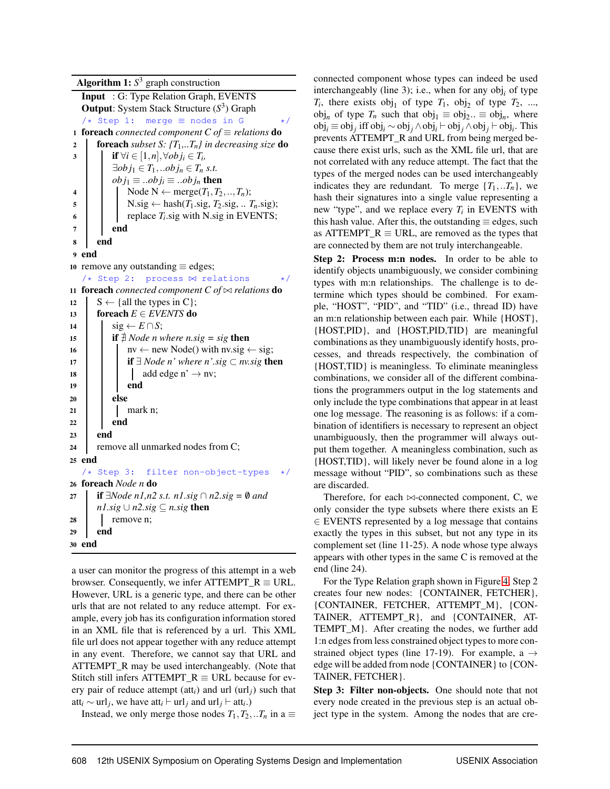Algorithm  $1: S^3$  graph construction Input : G: Type Relation Graph, EVENTS Output: System Stack Structure (*S* 3 ) Graph /\* Step 1: merge ≡ nodes in G \*/ 1 **foreach** *connected component*  $C$  *of*  $\equiv$  *relations* **do** <sup>2</sup> foreach *subset S: {T*1*,..Tn} in decreasing size* do 3 if  $\forall i \in [1, n], \forall obj_i \in T_i$  $\exists$ *ob*  $j_1 \in T_1$ *, ..ob*  $j_n \in T_n$  *s.t.*  $obj_1 \equiv ...obj_i \equiv ...obj_n$  then 4 Node N  $\leftarrow$  merge $(T_1, T_2, ..., T_n);$  $\mathbf{5}$  N.sig ← hash $(T_1.\text{sig}, T_2.\text{sig}, \dots T_n.\text{sig})$ ;  $\bullet$  | | replace  $T_i$  sig with N.sig in EVENTS;  $7 \mid$  end 8 end 9 end 10 remove any outstanding  $\equiv$  edges; /\* Step 2: process ⊠ relations \*/ <sup>11</sup> foreach *connected component C of* ⊲⊳ *relations* do 12  $S \leftarrow \{ \text{all the types in C} \};$ 13 foreach  $E \in EVENTS$  do 14  $\vert$  sig  $\leftarrow$  *E* ∩*S*; 15 **if**  $\ddagger$  *Node n where n.sig* = *sig* then 16 nv ← new Node() with nv.sig ← sig; <sup>17</sup> if ∃ *Node n' where n'.sig* ⊂ *nv.sig* then 18  $\vert \vert$   $\vert$  add edge n'  $\rightarrow$  nv; 19 end  $20$  else  $21$  mark n;  $22$  end 23 | end 24 remove all unmarked nodes from C; <sup>25</sup> end /\* Step 3: filter non-object-types \*/ <sup>26</sup> foreach *Node n* do <sup>27</sup> if ∃*Node n1,n2 s.t. n1.sig* ∩ *n2.sig =* /0 *and n1.sig* ∪ *n2.sig*  $\subseteq$  *n.sig* then 28 | remove n; 29 end 30 end

<span id="page-6-0"></span>a user can monitor the progress of this attempt in a web browser. Consequently, we infer ATTEMPT  $R \equiv \text{URL}$ . However, URL is a generic type, and there can be other urls that are not related to any reduce attempt. For example, every job has its configuration information stored in an XML file that is referenced by a url. This XML file url does not appear together with any reduce attempt in any event. Therefore, we cannot say that URL and ATTEMPT\_R may be used interchangeably. (Note that Stitch still infers ATTEMPT\_R  $\equiv$  URL because for every pair of reduce attempt (att*i*) and url (url*j*) such that att<sub>*i*</sub> ∼ url<sub>*j*</sub>, we have att<sub>*i*</sub> ⊢ url<sub>*j*</sub> and url<sub>*j*</sub> ⊢ att<sub>*i*</sub>.)

Instead, we only merge those nodes  $T_1, T_2, ... T_n$  in a  $\equiv$ 

connected component whose types can indeed be used interchangeably (line 3); i.e., when for any obj*<sup>i</sup>* of type  $T_i$ , there exists  $obj_1$  of type  $T_1$ ,  $obj_2$  of type  $T_2$ , ...,  $obj_n$  of type  $T_n$  such that  $obj_1 \equiv obj_2$ ..  $\equiv obj_n$ , where obj*<sup>i</sup>* ≡ obj*<sup>j</sup>* iff obj*<sup>i</sup>* ∼ obj*<sup>j</sup>* ∧obj*<sup>i</sup>* ⊢ obj*<sup>j</sup>* ∧obj*<sup>j</sup>* ⊢ obj*<sup>i</sup>* . This prevents ATTEMPT\_R and URL from being merged because there exist urls, such as the XML file url, that are not correlated with any reduce attempt. The fact that the types of the merged nodes can be used interchangeably indicates they are redundant. To merge  ${T_1, . . T_n}$ , we hash their signatures into a single value representing a new "type", and we replace every  $T_i$  in EVENTS with this hash value. After this, the outstanding  $\equiv$  edges, such as ATTEMPT\_R  $\equiv$  URL, are removed as the types that are connected by them are not truly interchangeable.

Step 2: Process m:n nodes. In order to be able to identify objects unambiguously, we consider combining types with m:n relationships. The challenge is to determine which types should be combined. For example, "HOST", "PID", and "TID" (i.e., thread ID) have an m:n relationship between each pair. While {HOST}, {HOST,PID}, and {HOST,PID,TID} are meaningful combinations as they unambiguously identify hosts, processes, and threads respectively, the combination of {HOST,TID} is meaningless. To eliminate meaningless combinations, we consider all of the different combinations the programmers output in the log statements and only include the type combinations that appear in at least one log message. The reasoning is as follows: if a combination of identifiers is necessary to represent an object unambiguously, then the programmer will always output them together. A meaningless combination, such as {HOST,TID}, will likely never be found alone in a log message without "PID", so combinations such as these are discarded.

Therefore, for each  $\bowtie$ -connected component, C, we only consider the type subsets where there exists an E ∈ EVENTS represented by a log message that contains exactly the types in this subset, but not any type in its complement set (line 11-25). A node whose type always appears with other types in the same C is removed at the end (line 24).

For the Type Relation graph shown in Figure [4,](#page-5-1) Step 2 creates four new nodes: {CONTAINER, FETCHER}, {CONTAINER, FETCHER, ATTEMPT\_M}, {CON-TAINER, ATTEMPT\_R}, and {CONTAINER, AT-TEMPT\_M}. After creating the nodes, we further add 1:n edges from less constrained object types to more constrained object types (line 17-19). For example, a  $\rightarrow$ edge will be added from node {CONTAINER} to {CON-TAINER, FETCHER}.

Step 3: Filter non-objects. One should note that not every node created in the previous step is an actual object type in the system. Among the nodes that are cre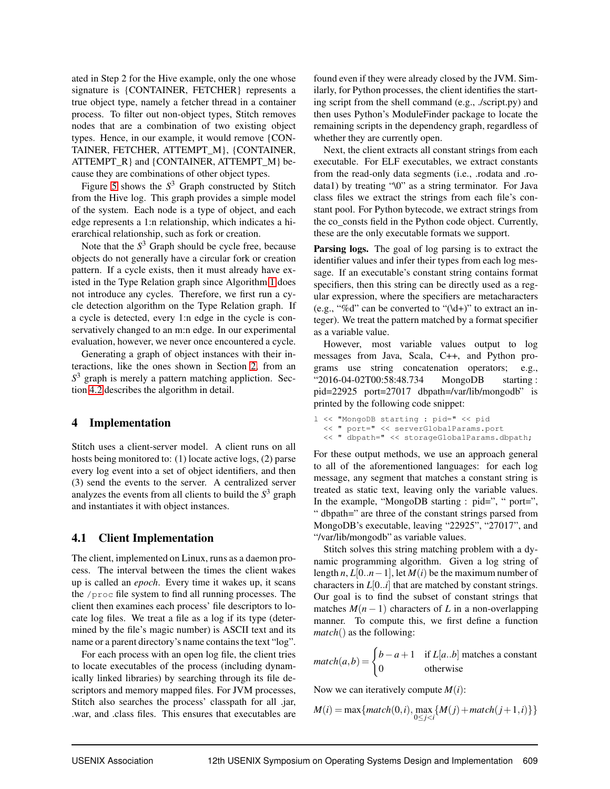ated in Step 2 for the Hive example, only the one whose signature is {CONTAINER, FETCHER} represents a true object type, namely a fetcher thread in a container process. To filter out non-object types, Stitch removes nodes that are a combination of two existing object types. Hence, in our example, it would remove {CON-TAINER, FETCHER, ATTEMPT\_M}, {CONTAINER, ATTEMPT\_R} and {CONTAINER, ATTEMPT\_M} because they are combinations of other object types.

Figure [5](#page-5-2) shows the  $S<sup>3</sup>$  Graph constructed by Stitch from the Hive log. This graph provides a simple model of the system. Each node is a type of object, and each edge represents a 1:n relationship, which indicates a hierarchical relationship, such as fork or creation.

Note that the  $S<sup>3</sup>$  Graph should be cycle free, because objects do not generally have a circular fork or creation pattern. If a cycle exists, then it must already have existed in the Type Relation graph since Algorithm [1](#page-6-0) does not introduce any cycles. Therefore, we first run a cycle detection algorithm on the Type Relation graph. If a cycle is detected, every 1:n edge in the cycle is conservatively changed to an m:n edge. In our experimental evaluation, however, we never once encountered a cycle.

Generating a graph of object instances with their interactions, like the ones shown in Section [2,](#page-3-0) from an *S* <sup>3</sup> graph is merely a pattern matching appliction. Section [4.2](#page-8-0) describes the algorithm in detail.

#### <span id="page-7-0"></span>4 Implementation

Stitch uses a client-server model. A client runs on all hosts being monitored to: (1) locate active logs, (2) parse every log event into a set of object identifiers, and then (3) send the events to the server. A centralized server analyzes the events from all clients to build the *S* <sup>3</sup> graph and instantiates it with object instances.

#### 4.1 Client Implementation

The client, implemented on Linux, runs as a daemon process. The interval between the times the client wakes up is called an *epoch*. Every time it wakes up, it scans the /proc file system to find all running processes. The client then examines each process' file descriptors to locate log files. We treat a file as a log if its type (determined by the file's magic number) is ASCII text and its name or a parent directory's name contains the text "log".

For each process with an open log file, the client tries to locate executables of the process (including dynamically linked libraries) by searching through its file descriptors and memory mapped files. For JVM processes, Stitch also searches the process' classpath for all .jar, .war, and .class files. This ensures that executables are found even if they were already closed by the JVM. Similarly, for Python processes, the client identifies the starting script from the shell command (e.g., ./script.py) and then uses Python's ModuleFinder package to locate the remaining scripts in the dependency graph, regardless of whether they are currently open.

Next, the client extracts all constant strings from each executable. For ELF executables, we extract constants from the read-only data segments (i.e., .rodata and .rodata1) by treating "\0" as a string terminator. For Java class files we extract the strings from each file's constant pool. For Python bytecode, we extract strings from the co\_consts field in the Python code object. Currently, these are the only executable formats we support.

Parsing logs. The goal of log parsing is to extract the identifier values and infer their types from each log message. If an executable's constant string contains format specifiers, then this string can be directly used as a regular expression, where the specifiers are metacharacters (e.g., "%d" can be converted to " $(\ddot{d}^+)$ " to extract an integer). We treat the pattern matched by a format specifier as a variable value.

However, most variable values output to log messages from Java, Scala, C++, and Python programs use string concatenation operators; e.g., "2016-04-02T00:58:48.734 MongoDB starting : pid=22925 port=27017 dbpath=/var/lib/mongodb" is printed by the following code snippet:

l << "MongoDB starting : pid=" << pid << " port=" << serverGlobalParams.port << " dbpath=" << storageGlobalParams.dbpath;

For these output methods, we use an approach general to all of the aforementioned languages: for each log message, any segment that matches a constant string is treated as static text, leaving only the variable values. In the example, "MongoDB starting : pid=", " port=", " dbpath=" are three of the constant strings parsed from MongoDB's executable, leaving "22925", "27017", and "/var/lib/mongodb" as variable values.

Stitch solves this string matching problem with a dynamic programming algorithm. Given a log string of length *n*,  $L[0..n-1]$ , let  $M(i)$  be the maximum number of characters in *L*[0..*i*] that are matched by constant strings. Our goal is to find the subset of constant strings that matches  $M(n-1)$  characters of *L* in a non-overlapping manner. To compute this, we first define a function *match*() as the following:

$$
match(a,b) = \begin{cases} b-a+1 & \text{if } L[a..b] \text{ matches a constant} \\ 0 & \text{otherwise} \end{cases}
$$

Now we can iteratively compute  $M(i)$ :

$$
M(i) = \max\{match(0, i), \max_{0 \le j < i} \{M(j) + match(j + 1, i)\}\}
$$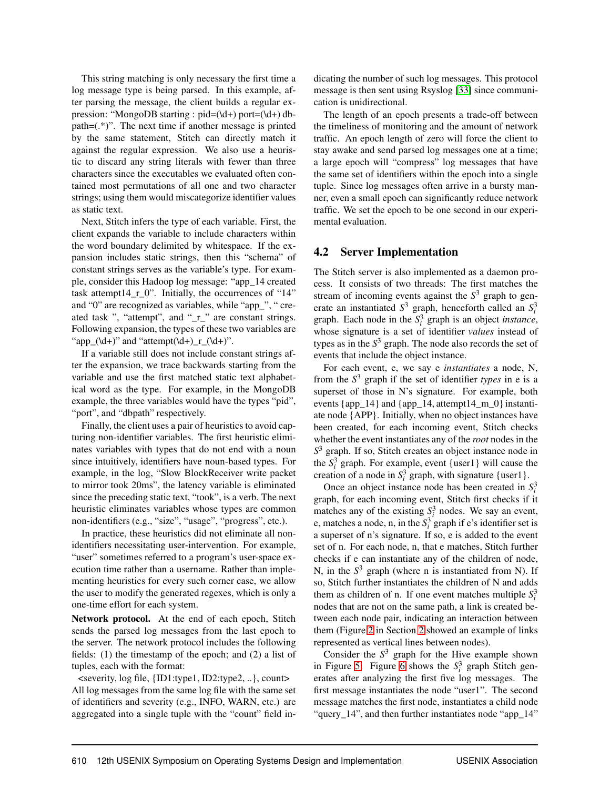This string matching is only necessary the first time a log message type is being parsed. In this example, after parsing the message, the client builds a regular expression: "MongoDB starting : pid=(\d+) port=(\d+) dbpath=(.\*)". The next time if another message is printed by the same statement, Stitch can directly match it against the regular expression. We also use a heuristic to discard any string literals with fewer than three characters since the executables we evaluated often contained most permutations of all one and two character strings; using them would miscategorize identifier values as static text.

Next, Stitch infers the type of each variable. First, the client expands the variable to include characters within the word boundary delimited by whitespace. If the expansion includes static strings, then this "schema" of constant strings serves as the variable's type. For example, consider this Hadoop log message: "app\_14 created task attempt14\_r\_0". Initially, the occurrences of "14" and "0" are recognized as variables, while "app\_", " created task ", "attempt", and "\_r\_" are constant strings. Following expansion, the types of these two variables are "app\_(\d+)" and "attempt(\d+)\_r\_(\d+)".

If a variable still does not include constant strings after the expansion, we trace backwards starting from the variable and use the first matched static text alphabetical word as the type. For example, in the MongoDB example, the three variables would have the types "pid", "port", and "dbpath" respectively.

Finally, the client uses a pair of heuristics to avoid capturing non-identifier variables. The first heuristic eliminates variables with types that do not end with a noun since intuitively, identifiers have noun-based types. For example, in the log, "Slow BlockReceiver write packet to mirror took 20ms", the latency variable is eliminated since the preceding static text, "took", is a verb. The next heuristic eliminates variables whose types are common non-identifiers (e.g., "size", "usage", "progress", etc.).

In practice, these heuristics did not eliminate all nonidentifiers necessitating user-intervention. For example, "user" sometimes referred to a program's user-space execution time rather than a username. Rather than implementing heuristics for every such corner case, we allow the user to modify the generated regexes, which is only a one-time effort for each system.

Network protocol. At the end of each epoch, Stitch sends the parsed log messages from the last epoch to the server. The network protocol includes the following fields: (1) the timestamp of the epoch; and (2) a list of tuples, each with the format:

<severity, log file, {ID1:type1, ID2:type2, ..}, count> All log messages from the same log file with the same set of identifiers and severity (e.g., INFO, WARN, etc.) are aggregated into a single tuple with the "count" field indicating the number of such log messages. This protocol message is then sent using Rsyslog [\[33\]](#page-16-7) since communication is unidirectional.

The length of an epoch presents a trade-off between the timeliness of monitoring and the amount of network traffic. An epoch length of zero will force the client to stay awake and send parsed log messages one at a time; a large epoch will "compress" log messages that have the same set of identifiers within the epoch into a single tuple. Since log messages often arrive in a bursty manner, even a small epoch can significantly reduce network traffic. We set the epoch to be one second in our experimental evaluation.

## <span id="page-8-0"></span>4.2 Server Implementation

The Stitch server is also implemented as a daemon process. It consists of two threads: The first matches the stream of incoming events against the *S* <sup>3</sup> graph to generate an instantiated  $S^3$  graph, henceforth called an  $S_i^3$ graph. Each node in the  $S_i^3$  graph is an object *instance*, whose signature is a set of identifier *values* instead of types as in the *S* <sup>3</sup> graph. The node also records the set of events that include the object instance.

For each event, e, we say e *instantiates* a node, N, from the *S* <sup>3</sup> graph if the set of identifier *types* in e is a superset of those in N's signature. For example, both events  $\{app_14\}$  and  $\{app_14, attempt14_m_0\}$  instantiate node {APP}. Initially, when no object instances have been created, for each incoming event, Stitch checks whether the event instantiates any of the *root* nodes in the *S* <sup>3</sup> graph. If so, Stitch creates an object instance node in the  $S_i^3$  graph. For example, event {user1} will cause the creation of a node in  $S_i^3$  graph, with signature {user1}.

Once an object instance node has been created in  $S_i^3$ graph, for each incoming event, Stitch first checks if it matches any of the existing  $S_i^3$  nodes. We say an event, e, matches a node, n, in the  $S_i^3$  graph if e's identifier set is a superset of n's signature. If so, e is added to the event set of n. For each node, n, that e matches, Stitch further checks if e can instantiate any of the children of node, N, in the *S* <sup>3</sup> graph (where n is instantiated from N). If so, Stitch further instantiates the children of N and adds them as children of n. If one event matches multiple  $S_i^3$ nodes that are not on the same path, a link is created between each node pair, indicating an interaction between them (Figure [2](#page-3-2) in Section [2](#page-3-0) showed an example of links represented as vertical lines between nodes).

Consider the  $S<sup>3</sup>$  graph for the Hive example shown in Figure [5.](#page-5-2) Figure [6](#page-9-2) shows the  $S_i^3$  graph Stitch generates after analyzing the first five log messages. The first message instantiates the node "user1". The second message matches the first node, instantiates a child node "query\_14", and then further instantiates node "app\_14"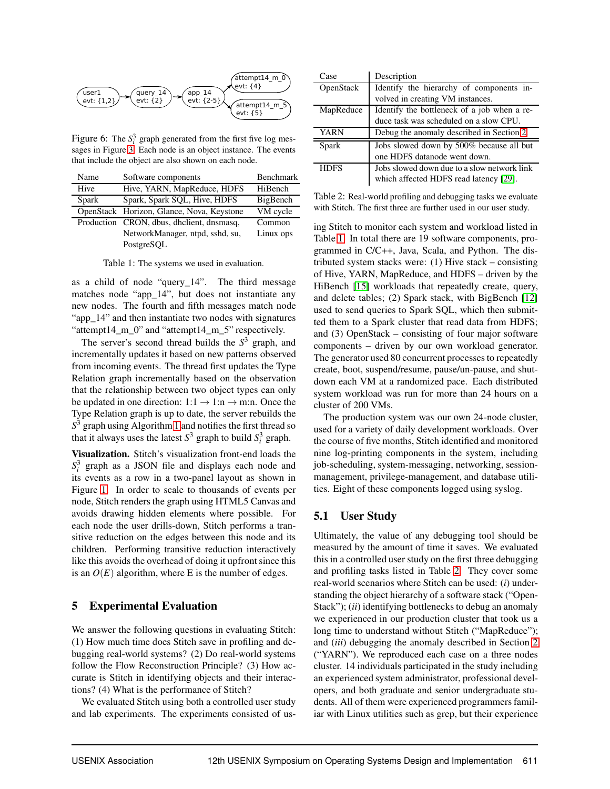

<span id="page-9-2"></span>Figure 6: The  $S_i^3$  graph generated from the first five log messages in Figure [3.](#page-5-0) Each node is an object instance. The events that include the object are also shown on each node.

| Name  | Software components                       | Benchmark |
|-------|-------------------------------------------|-----------|
| Hive  | Hive, YARN, MapReduce, HDFS               | HiBench   |
| Spark | Spark, Spark SQL, Hive, HDFS              | BigBench  |
|       | OpenStack Horizon, Glance, Nova, Keystone | VM cycle  |
|       | Production CRON, dbus, dhclient, dnsmasq, | Common    |
|       | NetworkManager, ntpd, sshd, su,           | Linux ops |
|       | PostgreSOL                                |           |

<span id="page-9-3"></span>Table 1: The systems we used in evaluation.

as a child of node "query\_14". The third message matches node "app\_14", but does not instantiate any new nodes. The fourth and fifth messages match node "app\_14" and then instantiate two nodes with signatures "attempt14\_m\_0" and "attempt14\_m\_5" respectively.

The server's second thread builds the *S* <sup>3</sup> graph, and incrementally updates it based on new patterns observed from incoming events. The thread first updates the Type Relation graph incrementally based on the observation that the relationship between two object types can only be updated in one direction:  $1:1 \rightarrow 1:n \rightarrow m:n$ . Once the Type Relation graph is up to date, the server rebuilds the *S* <sup>3</sup> graph using Algorithm [1](#page-6-0) and notifies the first thread so that it always uses the latest  $S^3$  graph to build  $S_i^3$  graph.

Visualization. Stitch's visualization front-end loads the  $S_i^3$  graph as a JSON file and displays each node and its events as a row in a two-panel layout as shown in Figure [1.](#page-3-1) In order to scale to thousands of events per node, Stitch renders the graph using HTML5 Canvas and avoids drawing hidden elements where possible. For each node the user drills-down, Stitch performs a transitive reduction on the edges between this node and its children. Performing transitive reduction interactively like this avoids the overhead of doing it upfront since this is an  $O(E)$  algorithm, where E is the number of edges.

# <span id="page-9-0"></span>5 Experimental Evaluation

We answer the following questions in evaluating Stitch: (1) How much time does Stitch save in profiling and debugging real-world systems? (2) Do real-world systems follow the Flow Reconstruction Principle? (3) How accurate is Stitch in identifying objects and their interactions? (4) What is the performance of Stitch?

We evaluated Stitch using both a controlled user study and lab experiments. The experiments consisted of us-

| Case        | Description                                 |  |  |  |  |  |
|-------------|---------------------------------------------|--|--|--|--|--|
| OpenStack   | Identify the hierarchy of components in-    |  |  |  |  |  |
|             | volved in creating VM instances.            |  |  |  |  |  |
| MapReduce   | Identify the bottleneck of a job when a re- |  |  |  |  |  |
|             | duce task was scheduled on a slow CPU.      |  |  |  |  |  |
| <b>YARN</b> | Debug the anomaly described in Section 2.   |  |  |  |  |  |
| Spark       | Jobs slowed down by 500% because all but    |  |  |  |  |  |
|             | one HDFS datanode went down.                |  |  |  |  |  |
| <b>HDFS</b> | Jobs slowed down due to a slow network link |  |  |  |  |  |
|             | which affected HDFS read latency [29].      |  |  |  |  |  |

<span id="page-9-4"></span>Table 2: Real-world profiling and debugging tasks we evaluate with Stitch. The first three are further used in our user study.

ing Stitch to monitor each system and workload listed in Table [1.](#page-9-3) In total there are 19 software components, programmed in C/C++, Java, Scala, and Python. The distributed system stacks were: (1) Hive stack – consisting of Hive, YARN, MapReduce, and HDFS – driven by the HiBench [\[15\]](#page-15-15) workloads that repeatedly create, query, and delete tables; (2) Spark stack, with BigBench [\[12\]](#page-15-16) used to send queries to Spark SQL, which then submitted them to a Spark cluster that read data from HDFS; and (3) OpenStack – consisting of four major software components – driven by our own workload generator. The generator used 80 concurrent processes to repeatedly create, boot, suspend/resume, pause/un-pause, and shutdown each VM at a randomized pace. Each distributed system workload was run for more than 24 hours on a cluster of 200 VMs.

The production system was our own 24-node cluster, used for a variety of daily development workloads. Over the course of five months, Stitch identified and monitored nine log-printing components in the system, including job-scheduling, system-messaging, networking, sessionmanagement, privilege-management, and database utilities. Eight of these components logged using syslog.

# <span id="page-9-1"></span>5.1 User Study

Ultimately, the value of any debugging tool should be measured by the amount of time it saves. We evaluated this in a controlled user study on the first three debugging and profiling tasks listed in Table [2.](#page-9-4) They cover some real-world scenarios where Stitch can be used: (*i*) understanding the object hierarchy of a software stack ("Open-Stack"); (*ii*) identifying bottlenecks to debug an anomaly we experienced in our production cluster that took us a long time to understand without Stitch ("MapReduce"); and (*iii*) debugging the anomaly described in Section [2](#page-3-0) ("YARN"). We reproduced each case on a three nodes cluster. 14 individuals participated in the study including an experienced system administrator, professional developers, and both graduate and senior undergraduate students. All of them were experienced programmers familiar with Linux utilities such as grep, but their experience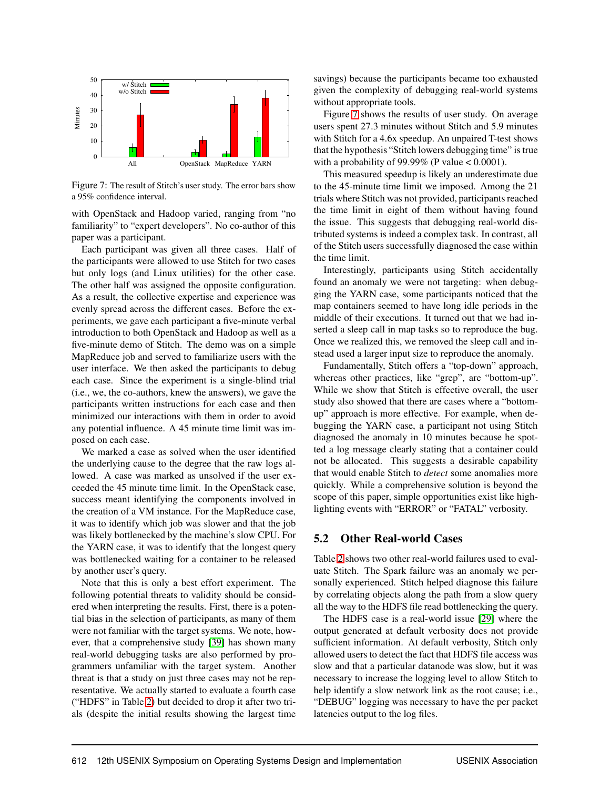

<span id="page-10-0"></span>Figure 7: The result of Stitch's user study. The error bars show a 95% confidence interval.

with OpenStack and Hadoop varied, ranging from "no familiarity" to "expert developers". No co-author of this paper was a participant.

Each participant was given all three cases. Half of the participants were allowed to use Stitch for two cases but only logs (and Linux utilities) for the other case. The other half was assigned the opposite configuration. As a result, the collective expertise and experience was evenly spread across the different cases. Before the experiments, we gave each participant a five-minute verbal introduction to both OpenStack and Hadoop as well as a five-minute demo of Stitch. The demo was on a simple MapReduce job and served to familiarize users with the user interface. We then asked the participants to debug each case. Since the experiment is a single-blind trial (i.e., we, the co-authors, knew the answers), we gave the participants written instructions for each case and then minimized our interactions with them in order to avoid any potential influence. A 45 minute time limit was imposed on each case.

We marked a case as solved when the user identified the underlying cause to the degree that the raw logs allowed. A case was marked as unsolved if the user exceeded the 45 minute time limit. In the OpenStack case, success meant identifying the components involved in the creation of a VM instance. For the MapReduce case, it was to identify which job was slower and that the job was likely bottlenecked by the machine's slow CPU. For the YARN case, it was to identify that the longest query was bottlenecked waiting for a container to be released by another user's query.

Note that this is only a best effort experiment. The following potential threats to validity should be considered when interpreting the results. First, there is a potential bias in the selection of participants, as many of them were not familiar with the target systems. We note, however, that a comprehensive study [\[39\]](#page-16-8) has shown many real-world debugging tasks are also performed by programmers unfamiliar with the target system. Another threat is that a study on just three cases may not be representative. We actually started to evaluate a fourth case ("HDFS" in Table [2\)](#page-9-4) but decided to drop it after two trials (despite the initial results showing the largest time savings) because the participants became too exhausted given the complexity of debugging real-world systems without appropriate tools.

Figure [7](#page-10-0) shows the results of user study. On average users spent 27.3 minutes without Stitch and 5.9 minutes with Stitch for a 4.6x speedup. An unpaired T-test shows that the hypothesis "Stitch lowers debugging time" is true with a probability of 99.99% (P value  $< 0.0001$ ).

This measured speedup is likely an underestimate due to the 45-minute time limit we imposed. Among the 21 trials where Stitch was not provided, participants reached the time limit in eight of them without having found the issue. This suggests that debugging real-world distributed systems is indeed a complex task. In contrast, all of the Stitch users successfully diagnosed the case within the time limit.

Interestingly, participants using Stitch accidentally found an anomaly we were not targeting: when debugging the YARN case, some participants noticed that the map containers seemed to have long idle periods in the middle of their executions. It turned out that we had inserted a sleep call in map tasks so to reproduce the bug. Once we realized this, we removed the sleep call and instead used a larger input size to reproduce the anomaly.

Fundamentally, Stitch offers a "top-down" approach, whereas other practices, like "grep", are "bottom-up". While we show that Stitch is effective overall, the user study also showed that there are cases where a "bottomup" approach is more effective. For example, when debugging the YARN case, a participant not using Stitch diagnosed the anomaly in 10 minutes because he spotted a log message clearly stating that a container could not be allocated. This suggests a desirable capability that would enable Stitch to *detect* some anomalies more quickly. While a comprehensive solution is beyond the scope of this paper, simple opportunities exist like highlighting events with "ERROR" or "FATAL" verbosity.

#### 5.2 Other Real-world Cases

Table [2](#page-9-4) shows two other real-world failures used to evaluate Stitch. The Spark failure was an anomaly we personally experienced. Stitch helped diagnose this failure by correlating objects along the path from a slow query all the way to the HDFS file read bottlenecking the query.

The HDFS case is a real-world issue [\[29\]](#page-15-14) where the output generated at default verbosity does not provide sufficient information. At default verbosity, Stitch only allowed users to detect the fact that HDFS file access was slow and that a particular datanode was slow, but it was necessary to increase the logging level to allow Stitch to help identify a slow network link as the root cause; i.e., "DEBUG" logging was necessary to have the per packet latencies output to the log files.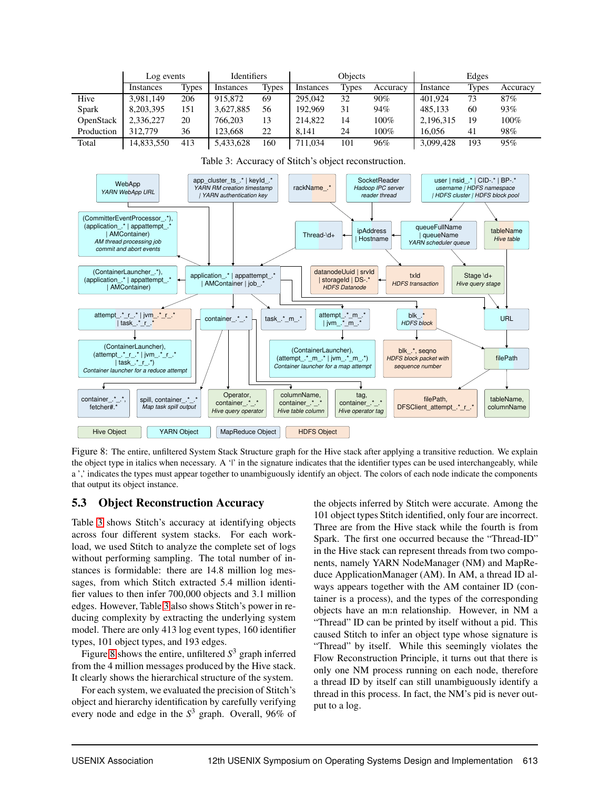|            | Log events |              | <b>Identifiers</b> |              | Obiects   |              |          | Edges     |              |          |
|------------|------------|--------------|--------------------|--------------|-----------|--------------|----------|-----------|--------------|----------|
|            | Instances  | <b>Types</b> | Instances          | <b>Types</b> | Instances | <b>Types</b> | Accuracy | Instance  | <b>Types</b> | Accuracy |
| Hive       | 3,981,149  | 206          | 915,872            | 69           | 295,042   | 32           | $90\%$   | 401.924   | 73           | 87%      |
| Spark      | 8,203,395  | 151          | 3,627,885          | 56           | 192,969   | 31           | 94%      | 485.133   | 60           | 93%      |
| OpenStack  | 2,336,227  | 20           | 766,203            | 13           | 214,822   | 14           | $100\%$  | 2,196,315 | 19           | 100%     |
| Production | 312,779    | 36           | 123,668            | 22           | 8.141     | 24           | 100%     | 16.056    | 41           | 98%      |
| Total      | 14,833,550 | 413          | 5,433,628          | 160          | 711.034   | 101          | 96%      | 3,099,428 | 193          | 95%      |



<span id="page-11-0"></span>Table 3: Accuracy of Stitch's object reconstruction.

<span id="page-11-1"></span>Figure 8: The entire, unfiltered System Stack Structure graph for the Hive stack after applying a transitive reduction. We explain the object type in italics when necessary. A '|' in the signature indicates that the identifier types can be used interchangeably, while a ',' indicates the types must appear together to unambiguously identify an object. The colors of each node indicate the components that output its object instance.

#### 5.3 Object Reconstruction Accuracy

Table [3](#page-11-0) shows Stitch's accuracy at identifying objects across four different system stacks. For each workload, we used Stitch to analyze the complete set of logs without performing sampling. The total number of instances is formidable: there are 14.8 million log messages, from which Stitch extracted 5.4 million identifier values to then infer 700,000 objects and 3.1 million edges. However, Table [3](#page-11-0) also shows Stitch's power in reducing complexity by extracting the underlying system model. There are only 413 log event types, 160 identifier types, 101 object types, and 193 edges.

Figure [8](#page-11-1) shows the entire, unfiltered *S* <sup>3</sup> graph inferred from the 4 million messages produced by the Hive stack. It clearly shows the hierarchical structure of the system.

For each system, we evaluated the precision of Stitch's object and hierarchy identification by carefully verifying every node and edge in the *S* <sup>3</sup> graph. Overall, 96% of the objects inferred by Stitch were accurate. Among the 101 object types Stitch identified, only four are incorrect. Three are from the Hive stack while the fourth is from Spark. The first one occurred because the "Thread-ID" in the Hive stack can represent threads from two components, namely YARN NodeManager (NM) and MapReduce ApplicationManager (AM). In AM, a thread ID always appears together with the AM container ID (container is a process), and the types of the corresponding objects have an m:n relationship. However, in NM a "Thread" ID can be printed by itself without a pid. This caused Stitch to infer an object type whose signature is "Thread" by itself. While this seemingly violates the Flow Reconstruction Principle, it turns out that there is only one NM process running on each node, therefore a thread ID by itself can still unambiguously identify a thread in this process. In fact, the NM's pid is never output to a log.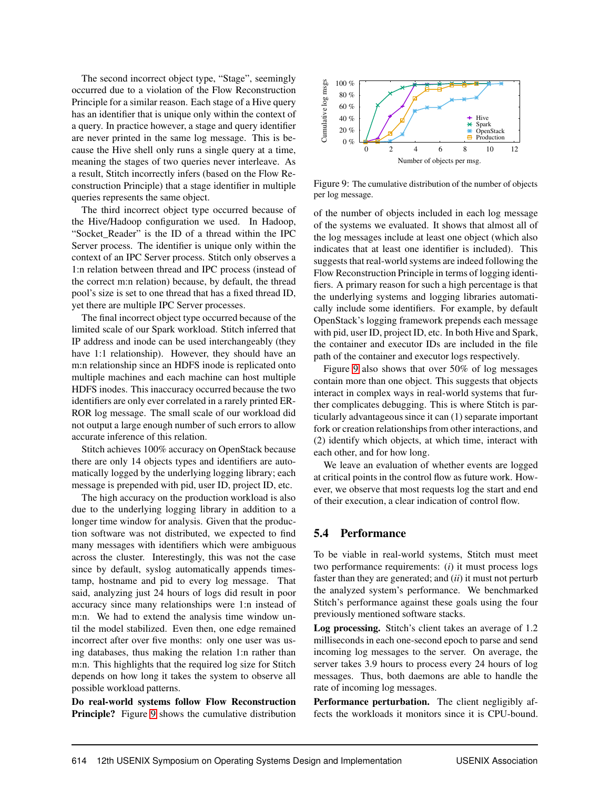The second incorrect object type, "Stage", seemingly occurred due to a violation of the Flow Reconstruction Principle for a similar reason. Each stage of a Hive query has an identifier that is unique only within the context of a query. In practice however, a stage and query identifier are never printed in the same log message. This is because the Hive shell only runs a single query at a time, meaning the stages of two queries never interleave. As a result, Stitch incorrectly infers (based on the Flow Reconstruction Principle) that a stage identifier in multiple queries represents the same object.

The third incorrect object type occurred because of the Hive/Hadoop configuration we used. In Hadoop, "Socket\_Reader" is the ID of a thread within the IPC Server process. The identifier is unique only within the context of an IPC Server process. Stitch only observes a 1:n relation between thread and IPC process (instead of the correct m:n relation) because, by default, the thread pool's size is set to one thread that has a fixed thread ID, yet there are multiple IPC Server processes.

The final incorrect object type occurred because of the limited scale of our Spark workload. Stitch inferred that IP address and inode can be used interchangeably (they have 1:1 relationship). However, they should have an m:n relationship since an HDFS inode is replicated onto multiple machines and each machine can host multiple HDFS inodes. This inaccuracy occurred because the two identifiers are only ever correlated in a rarely printed ER-ROR log message. The small scale of our workload did not output a large enough number of such errors to allow accurate inference of this relation.

Stitch achieves 100% accuracy on OpenStack because there are only 14 objects types and identifiers are automatically logged by the underlying logging library; each message is prepended with pid, user ID, project ID, etc.

The high accuracy on the production workload is also due to the underlying logging library in addition to a longer time window for analysis. Given that the production software was not distributed, we expected to find many messages with identifiers which were ambiguous across the cluster. Interestingly, this was not the case since by default, syslog automatically appends timestamp, hostname and pid to every log message. That said, analyzing just 24 hours of logs did result in poor accuracy since many relationships were 1:n instead of m:n. We had to extend the analysis time window until the model stabilized. Even then, one edge remained incorrect after over five months: only one user was using databases, thus making the relation 1:n rather than m:n. This highlights that the required log size for Stitch depends on how long it takes the system to observe all possible workload patterns.

Do real-world systems follow Flow Reconstruction Principle? Figure [9](#page-12-0) shows the cumulative distribution



<span id="page-12-0"></span>Figure 9: The cumulative distribution of the number of objects per log message.

of the number of objects included in each log message of the systems we evaluated. It shows that almost all of the log messages include at least one object (which also indicates that at least one identifier is included). This suggests that real-world systems are indeed following the Flow Reconstruction Principle in terms of logging identifiers. A primary reason for such a high percentage is that the underlying systems and logging libraries automatically include some identifiers. For example, by default OpenStack's logging framework prepends each message with pid, user ID, project ID, etc. In both Hive and Spark, the container and executor IDs are included in the file path of the container and executor logs respectively.

Figure [9](#page-12-0) also shows that over 50% of log messages contain more than one object. This suggests that objects interact in complex ways in real-world systems that further complicates debugging. This is where Stitch is particularly advantageous since it can (1) separate important fork or creation relationships from other interactions, and (2) identify which objects, at which time, interact with each other, and for how long.

We leave an evaluation of whether events are logged at critical points in the control flow as future work. However, we observe that most requests log the start and end of their execution, a clear indication of control flow.

#### 5.4 Performance

To be viable in real-world systems, Stitch must meet two performance requirements: (*i*) it must process logs faster than they are generated; and (*ii*) it must not perturb the analyzed system's performance. We benchmarked Stitch's performance against these goals using the four previously mentioned software stacks.

Log processing. Stitch's client takes an average of 1.2 milliseconds in each one-second epoch to parse and send incoming log messages to the server. On average, the server takes 3.9 hours to process every 24 hours of log messages. Thus, both daemons are able to handle the rate of incoming log messages.

Performance perturbation. The client negligibly affects the workloads it monitors since it is CPU-bound.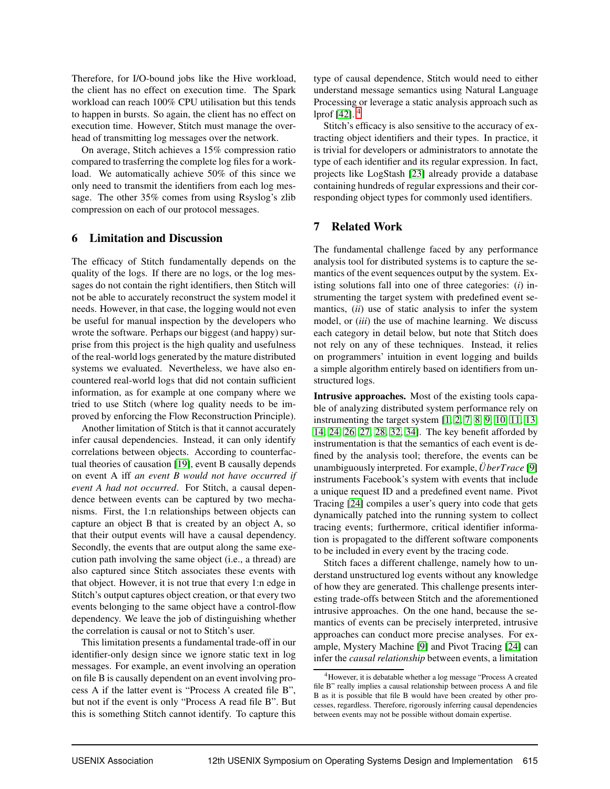Therefore, for I/O-bound jobs like the Hive workload, the client has no effect on execution time. The Spark workload can reach 100% CPU utilisation but this tends to happen in bursts. So again, the client has no effect on execution time. However, Stitch must manage the overhead of transmitting log messages over the network.

On average, Stitch achieves a 15% compression ratio compared to trasferring the complete log files for a workload. We automatically achieve 50% of this since we only need to transmit the identifiers from each log message. The other 35% comes from using Rsyslog's zlib compression on each of our protocol messages.

#### <span id="page-13-1"></span>6 Limitation and Discussion

The efficacy of Stitch fundamentally depends on the quality of the logs. If there are no logs, or the log messages do not contain the right identifiers, then Stitch will not be able to accurately reconstruct the system model it needs. However, in that case, the logging would not even be useful for manual inspection by the developers who wrote the software. Perhaps our biggest (and happy) surprise from this project is the high quality and usefulness of the real-world logs generated by the mature distributed systems we evaluated. Nevertheless, we have also encountered real-world logs that did not contain sufficient information, as for example at one company where we tried to use Stitch (where log quality needs to be improved by enforcing the Flow Reconstruction Principle).

Another limitation of Stitch is that it cannot accurately infer causal dependencies. Instead, it can only identify correlations between objects. According to counterfactual theories of causation [\[19\]](#page-15-17), event B causally depends on event A iff *an event B would not have occurred if event A had not occurred*. For Stitch, a causal dependence between events can be captured by two mechanisms. First, the 1:n relationships between objects can capture an object B that is created by an object A, so that their output events will have a causal dependency. Secondly, the events that are output along the same execution path involving the same object (i.e., a thread) are also captured since Stitch associates these events with that object. However, it is not true that every 1:n edge in Stitch's output captures object creation, or that every two events belonging to the same object have a control-flow dependency. We leave the job of distinguishing whether the correlation is causal or not to Stitch's user.

This limitation presents a fundamental trade-off in our identifier-only design since we ignore static text in log messages. For example, an event involving an operation on file B is causally dependent on an event involving process A if the latter event is "Process A created file B", but not if the event is only "Process A read file B". But this is something Stitch cannot identify. To capture this type of causal dependence, Stitch would need to either understand message semantics using Natural Language Processing or leverage a static analysis approach such as lprof [\[42\]](#page-16-2). [4](#page-13-0)

Stitch's efficacy is also sensitive to the accuracy of extracting object identifiers and their types. In practice, it is trivial for developers or administrators to annotate the type of each identifier and its regular expression. In fact, projects like LogStash [\[23\]](#page-15-12) already provide a database containing hundreds of regular expressions and their corresponding object types for commonly used identifiers.

# 7 Related Work

The fundamental challenge faced by any performance analysis tool for distributed systems is to capture the semantics of the event sequences output by the system. Existing solutions fall into one of three categories: (*i*) instrumenting the target system with predefined event semantics, (*ii*) use of static analysis to infer the system model, or (*iii*) the use of machine learning. We discuss each category in detail below, but note that Stitch does not rely on any of these techniques. Instead, it relies on programmers' intuition in event logging and builds a simple algorithm entirely based on identifiers from unstructured logs.

Intrusive approaches. Most of the existing tools capable of analyzing distributed system performance rely on instrumenting the target system [\[1,](#page-14-0) [2,](#page-14-1) [7,](#page-15-18) [8,](#page-15-19) [9,](#page-15-0) [10,](#page-15-20) [11,](#page-15-1) [13,](#page-15-21) [14,](#page-15-22) [24,](#page-15-2) [26,](#page-15-3) [27,](#page-15-4) [28,](#page-15-23) [32,](#page-16-9) [34\]](#page-16-0). The key benefit afforded by instrumentation is that the semantics of each event is defined by the analysis tool; therefore, the events can be unambiguously interpreted. For example, *ÜberTrace* [\[9\]](#page-15-0) instruments Facebook's system with events that include a unique request ID and a predefined event name. Pivot Tracing [\[24\]](#page-15-2) compiles a user's query into code that gets dynamically patched into the running system to collect tracing events; furthermore, critical identifier information is propagated to the different software components to be included in every event by the tracing code.

Stitch faces a different challenge, namely how to understand unstructured log events without any knowledge of how they are generated. This challenge presents interesting trade-offs between Stitch and the aforementioned intrusive approaches. On the one hand, because the semantics of events can be precisely interpreted, intrusive approaches can conduct more precise analyses. For example, Mystery Machine [\[9\]](#page-15-0) and Pivot Tracing [\[24\]](#page-15-2) can infer the *causal relationship* between events, a limitation

<span id="page-13-0"></span><sup>4</sup>However, it is debatable whether a log message "Process A created file B" really implies a causal relationship between process A and file B as it is possible that file B would have been created by other processes, regardless. Therefore, rigorously inferring causal dependencies between events may not be possible without domain expertise.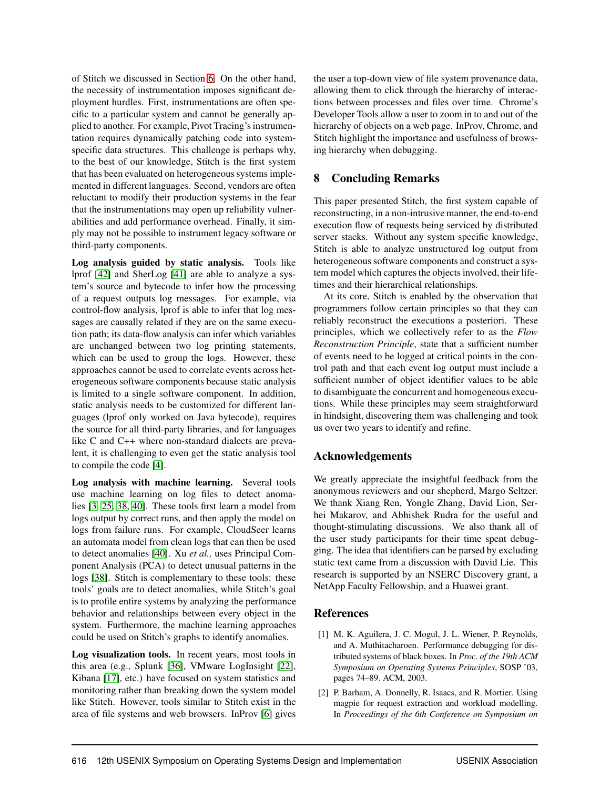of Stitch we discussed in Section [6.](#page-13-1) On the other hand, the necessity of instrumentation imposes significant deployment hurdles. First, instrumentations are often specific to a particular system and cannot be generally applied to another. For example, Pivot Tracing's instrumentation requires dynamically patching code into systemspecific data structures. This challenge is perhaps why, to the best of our knowledge, Stitch is the first system that has been evaluated on heterogeneous systems implemented in different languages. Second, vendors are often reluctant to modify their production systems in the fear that the instrumentations may open up reliability vulnerabilities and add performance overhead. Finally, it simply may not be possible to instrument legacy software or third-party components.

Log analysis guided by static analysis. Tools like lprof [\[42\]](#page-16-2) and SherLog [\[41\]](#page-16-10) are able to analyze a system's source and bytecode to infer how the processing of a request outputs log messages. For example, via control-flow analysis, lprof is able to infer that log messages are causally related if they are on the same execution path; its data-flow analysis can infer which variables are unchanged between two log printing statements, which can be used to group the logs. However, these approaches cannot be used to correlate events across heterogeneous software components because static analysis is limited to a single software component. In addition, static analysis needs to be customized for different languages (lprof only worked on Java bytecode), requires the source for all third-party libraries, and for languages like C and C++ where non-standard dialects are prevalent, it is challenging to even get the static analysis tool to compile the code [\[4\]](#page-15-24).

Log analysis with machine learning. Several tools use machine learning on log files to detect anomalies [\[3,](#page-15-25) [25,](#page-15-5) [38,](#page-16-1) [40\]](#page-16-11). These tools first learn a model from logs output by correct runs, and then apply the model on logs from failure runs. For example, CloudSeer learns an automata model from clean logs that can then be used to detect anomalies [\[40\]](#page-16-11). Xu *et al.,* uses Principal Component Analysis (PCA) to detect unusual patterns in the logs [\[38\]](#page-16-1). Stitch is complementary to these tools: these tools' goals are to detect anomalies, while Stitch's goal is to profile entire systems by analyzing the performance behavior and relationships between every object in the system. Furthermore, the machine learning approaches could be used on Stitch's graphs to identify anomalies.

Log visualization tools. In recent years, most tools in this area (e.g., Splunk [\[36\]](#page-16-6), VMware LogInsight [\[22\]](#page-15-11), Kibana [\[17\]](#page-15-26), etc.) have focused on system statistics and monitoring rather than breaking down the system model like Stitch. However, tools similar to Stitch exist in the area of file systems and web browsers. InProv [\[6\]](#page-15-27) gives the user a top-down view of file system provenance data, allowing them to click through the hierarchy of interactions between processes and files over time. Chrome's Developer Tools allow a user to zoom in to and out of the hierarchy of objects on a web page. InProv, Chrome, and Stitch highlight the importance and usefulness of browsing hierarchy when debugging.

# 8 Concluding Remarks

This paper presented Stitch, the first system capable of reconstructing, in a non-intrusive manner, the end-to-end execution flow of requests being serviced by distributed server stacks. Without any system specific knowledge, Stitch is able to analyze unstructured log output from heterogeneous software components and construct a system model which captures the objects involved, their lifetimes and their hierarchical relationships.

At its core, Stitch is enabled by the observation that programmers follow certain principles so that they can reliably reconstruct the executions a posteriori. These principles, which we collectively refer to as the *Flow Reconstruction Principle*, state that a sufficient number of events need to be logged at critical points in the control path and that each event log output must include a sufficient number of object identifier values to be able to disambiguate the concurrent and homogeneous executions. While these principles may seem straightforward in hindsight, discovering them was challenging and took us over two years to identify and refine.

# Acknowledgements

We greatly appreciate the insightful feedback from the anonymous reviewers and our shepherd, Margo Seltzer. We thank Xiang Ren, Yongle Zhang, David Lion, Serhei Makarov, and Abhishek Rudra for the useful and thought-stimulating discussions. We also thank all of the user study participants for their time spent debugging. The idea that identifiers can be parsed by excluding static text came from a discussion with David Lie. This research is supported by an NSERC Discovery grant, a NetApp Faculty Fellowship, and a Huawei grant.

# <span id="page-14-0"></span>References

- [1] M. K. Aguilera, J. C. Mogul, J. L. Wiener, P. Reynolds, and A. Muthitacharoen. Performance debugging for distributed systems of black boxes. In *Proc. of the 19th ACM Symposium on Operating Systems Principles*, SOSP '03, pages 74–89. ACM, 2003.
- <span id="page-14-1"></span>[2] P. Barham, A. Donnelly, R. Isaacs, and R. Mortier. Using magpie for request extraction and workload modelling. In *Proceedings of the 6th Conference on Symposium on*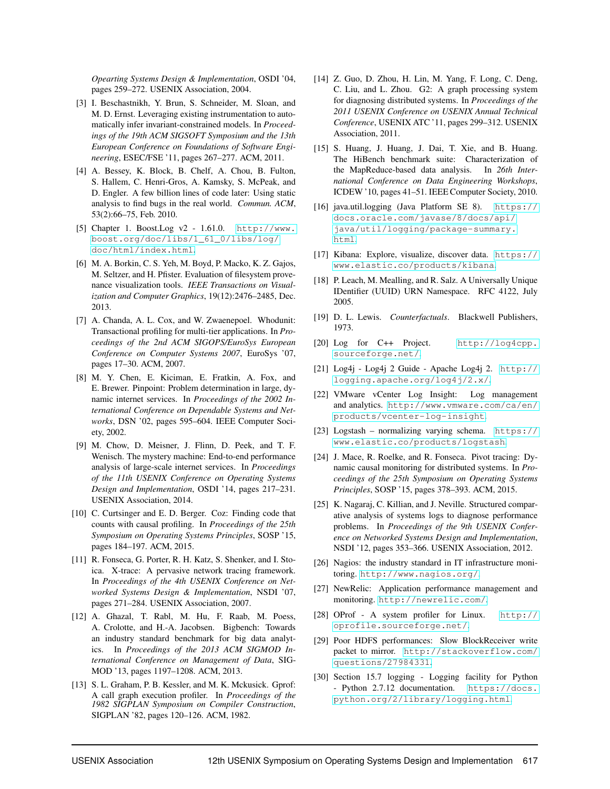*Opearting Systems Design & Implementation*, OSDI '04, pages 259–272. USENIX Association, 2004.

- <span id="page-15-25"></span>[3] I. Beschastnikh, Y. Brun, S. Schneider, M. Sloan, and M. D. Ernst. Leveraging existing instrumentation to automatically infer invariant-constrained models. In *Proceedings of the 19th ACM SIGSOFT Symposium and the 13th European Conference on Foundations of Software Engineering*, ESEC/FSE '11, pages 267–277. ACM, 2011.
- <span id="page-15-24"></span>[4] A. Bessey, K. Block, B. Chelf, A. Chou, B. Fulton, S. Hallem, C. Henri-Gros, A. Kamsky, S. McPeak, and D. Engler. A few billion lines of code later: Using static analysis to find bugs in the real world. *Commun. ACM*, 53(2):66–75, Feb. 2010.
- <span id="page-15-10"></span>[5] Chapter 1. Boost.Log v2 - 1.61.0. [http://www.](http://www.boost.org/doc/libs/1_61_0/libs/log/doc/html/index.html) [boost.org/doc/libs/1\\_61\\_0/libs/log/](http://www.boost.org/doc/libs/1_61_0/libs/log/doc/html/index.html) [doc/html/index.html](http://www.boost.org/doc/libs/1_61_0/libs/log/doc/html/index.html).
- <span id="page-15-27"></span>[6] M. A. Borkin, C. S. Yeh, M. Boyd, P. Macko, K. Z. Gajos, M. Seltzer, and H. Pfister. Evaluation of filesystem provenance visualization tools. *IEEE Transactions on Visualization and Computer Graphics*, 19(12):2476–2485, Dec. 2013.
- <span id="page-15-18"></span>[7] A. Chanda, A. L. Cox, and W. Zwaenepoel. Whodunit: Transactional profiling for multi-tier applications. In *Proceedings of the 2nd ACM SIGOPS/EuroSys European Conference on Computer Systems 2007*, EuroSys '07, pages 17–30. ACM, 2007.
- <span id="page-15-19"></span>[8] M. Y. Chen, E. Kiciman, E. Fratkin, A. Fox, and E. Brewer. Pinpoint: Problem determination in large, dynamic internet services. In *Proceedings of the 2002 International Conference on Dependable Systems and Networks*, DSN '02, pages 595–604. IEEE Computer Society, 2002.
- <span id="page-15-0"></span>[9] M. Chow, D. Meisner, J. Flinn, D. Peek, and T. F. Wenisch. The mystery machine: End-to-end performance analysis of large-scale internet services. In *Proceedings of the 11th USENIX Conference on Operating Systems Design and Implementation*, OSDI '14, pages 217–231. USENIX Association, 2014.
- <span id="page-15-20"></span>[10] C. Curtsinger and E. D. Berger. Coz: Finding code that counts with causal profiling. In *Proceedings of the 25th Symposium on Operating Systems Principles*, SOSP '15, pages 184–197. ACM, 2015.
- <span id="page-15-1"></span>[11] R. Fonseca, G. Porter, R. H. Katz, S. Shenker, and I. Stoica. X-trace: A pervasive network tracing framework. In *Proceedings of the 4th USENIX Conference on Networked Systems Design & Implementation*, NSDI '07, pages 271–284. USENIX Association, 2007.
- <span id="page-15-16"></span>[12] A. Ghazal, T. Rabl, M. Hu, F. Raab, M. Poess, A. Crolotte, and H.-A. Jacobsen. Bigbench: Towards an industry standard benchmark for big data analytics. In *Proceedings of the 2013 ACM SIGMOD International Conference on Management of Data*, SIG-MOD '13, pages 1197–1208. ACM, 2013.
- <span id="page-15-21"></span>[13] S. L. Graham, P. B. Kessler, and M. K. Mckusick. Gprof: A call graph execution profiler. In *Proceedings of the 1982 SIGPLAN Symposium on Compiler Construction*, SIGPLAN '82, pages 120–126. ACM, 1982.
- <span id="page-15-22"></span>[14] Z. Guo, D. Zhou, H. Lin, M. Yang, F. Long, C. Deng, C. Liu, and L. Zhou. G2: A graph processing system for diagnosing distributed systems. In *Proceedings of the 2011 USENIX Conference on USENIX Annual Technical Conference*, USENIX ATC '11, pages 299–312. USENIX Association, 2011.
- <span id="page-15-15"></span>[15] S. Huang, J. Huang, J. Dai, T. Xie, and B. Huang. The HiBench benchmark suite: Characterization of the MapReduce-based data analysis. In *26th International Conference on Data Engineering Workshops*, ICDEW '10, pages 41–51. IEEE Computer Society, 2010.
- <span id="page-15-8"></span>[16] java.util.logging (Java Platform SE 8). [https://](https://docs.oracle.com/javase/8/docs/api/java/util/logging/package-summary.html) [docs.oracle.com/javase/8/docs/api/](https://docs.oracle.com/javase/8/docs/api/java/util/logging/package-summary.html) [java/util/logging/package-summary.](https://docs.oracle.com/javase/8/docs/api/java/util/logging/package-summary.html) [html](https://docs.oracle.com/javase/8/docs/api/java/util/logging/package-summary.html).
- <span id="page-15-26"></span><span id="page-15-13"></span>[17] Kibana: Explore, visualize, discover data. [https://](https://www.elastic.co/products/kibana) [www.elastic.co/products/kibana](https://www.elastic.co/products/kibana).
- [18] P. Leach, M. Mealling, and R. Salz. A Universally Unique IDentifier (UUID) URN Namespace. RFC 4122, July 2005.
- <span id="page-15-17"></span><span id="page-15-9"></span>[19] D. L. Lewis. *Counterfactuals*. Blackwell Publishers, 1973.
- [20] Log for C++ Project. [http://log4cpp.](http://log4cpp.sourceforge.net/) [sourceforge.net/](http://log4cpp.sourceforge.net/).
- <span id="page-15-6"></span>[21] Log4j - Log4j 2 Guide - Apache Log4j 2. [http://](http://logging.apache.org/log4j/2.x/) [logging.apache.org/log4j/2.x/](http://logging.apache.org/log4j/2.x/).
- <span id="page-15-11"></span>[22] VMware vCenter Log Insight: Log management and analytics. [http://www.vmware.com/ca/en/](http://www.vmware.com/ca/en/products/vcenter-log-insight) [products/vcenter-log-insight](http://www.vmware.com/ca/en/products/vcenter-log-insight).
- <span id="page-15-12"></span><span id="page-15-2"></span>[23] Logstash – normalizing varying schema. [https://](https://www.elastic.co/products/logstash) [www.elastic.co/products/logstash](https://www.elastic.co/products/logstash).
- [24] J. Mace, R. Roelke, and R. Fonseca. Pivot tracing: Dynamic causal monitoring for distributed systems. In *Proceedings of the 25th Symposium on Operating Systems Principles*, SOSP '15, pages 378–393. ACM, 2015.
- <span id="page-15-5"></span>[25] K. Nagaraj, C. Killian, and J. Neville. Structured comparative analysis of systems logs to diagnose performance problems. In *Proceedings of the 9th USENIX Conference on Networked Systems Design and Implementation*, NSDI '12, pages 353–366. USENIX Association, 2012.
- <span id="page-15-3"></span>[26] Nagios: the industry standard in IT infrastructure monitoring. <http://www.nagios.org/>.
- <span id="page-15-4"></span>[27] NewRelic: Application performance management and monitoring. <http://newrelic.com/>.
- <span id="page-15-23"></span>[28] OProf - A system profiler for Linux. [http://](http://oprofile.sourceforge.net/) [oprofile.sourceforge.net/](http://oprofile.sourceforge.net/).
- <span id="page-15-14"></span>[29] Poor HDFS performances: Slow BlockReceiver write packet to mirror. [http://stackoverflow.com/](http://stackoverflow.com/questions/27984331) [questions/27984331](http://stackoverflow.com/questions/27984331).
- <span id="page-15-7"></span>[30] Section 15.7 logging - Logging facility for Python - Python 2.7.12 documentation. [https://docs.](https://docs.python.org/2/library/logging.html) [python.org/2/library/logging.html](https://docs.python.org/2/library/logging.html).